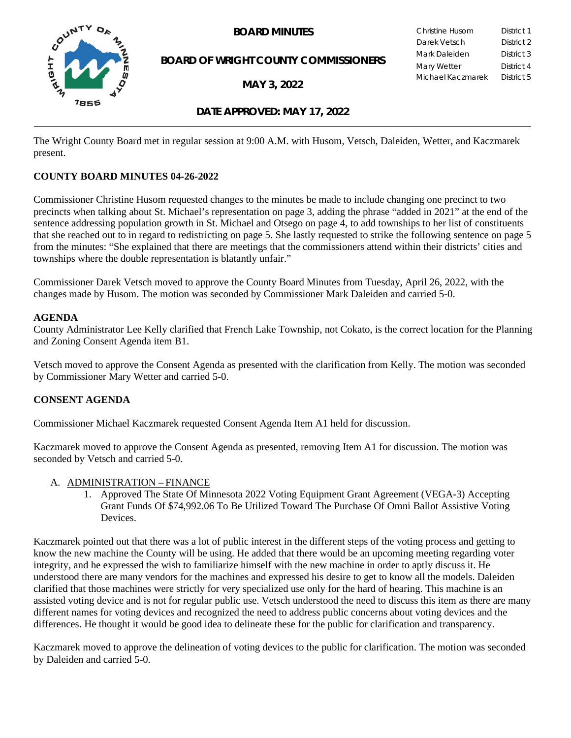



**BOARD OF WRIGHT COUNTY COMMISSIONERS** 

**MAY 3, 2022**

| Christine Husom   | District 1 |
|-------------------|------------|
| Darek Vetsch      | District 2 |
| Mark Daleiden     | District 3 |
| Mary Wetter       | District 4 |
| Michael Kaczmarek | District 5 |

# **DATE APPROVED: MAY 17, 2022**

The Wright County Board met in regular session at 9:00 A.M. with Husom, Vetsch, Daleiden, Wetter, and Kaczmarek present.

# **COUNTY BOARD MINUTES 04-26-2022**

Commissioner Christine Husom requested changes to the minutes be made to include changing one precinct to two precincts when talking about St. Michael's representation on page 3, adding the phrase "added in 2021" at the end of the sentence addressing population growth in St. Michael and Otsego on page 4, to add townships to her list of constituents that she reached out to in regard to redistricting on page 5. She lastly requested to strike the following sentence on page 5 from the minutes: "She explained that there are meetings that the commissioners attend within their districts' cities and townships where the double representation is blatantly unfair."

Commissioner Darek Vetsch moved to approve the County Board Minutes from Tuesday, April 26, 2022, with the changes made by Husom. The motion was seconded by Commissioner Mark Daleiden and carried 5-0.

#### **AGENDA**

County Administrator Lee Kelly clarified that French Lake Township, not Cokato, is the correct location for the Planning and Zoning Consent Agenda item B1.

Vetsch moved to approve the Consent Agenda as presented with the clarification from Kelly. The motion was seconded by Commissioner Mary Wetter and carried 5-0.

# **CONSENT AGENDA**

Commissioner Michael Kaczmarek requested Consent Agenda Item A1 held for discussion.

Kaczmarek moved to approve the Consent Agenda as presented, removing Item A1 for discussion. The motion was seconded by Vetsch and carried 5-0.

#### A. ADMINISTRATION – FINANCE

1. Approved The State Of Minnesota 2022 Voting Equipment Grant Agreement (VEGA-3) Accepting Grant Funds Of \$74,992.06 To Be Utilized Toward The Purchase Of Omni Ballot Assistive Voting Devices.

Kaczmarek pointed out that there was a lot of public interest in the different steps of the voting process and getting to know the new machine the County will be using. He added that there would be an upcoming meeting regarding voter integrity, and he expressed the wish to familiarize himself with the new machine in order to aptly discuss it. He understood there are many vendors for the machines and expressed his desire to get to know all the models. Daleiden clarified that those machines were strictly for very specialized use only for the hard of hearing. This machine is an assisted voting device and is not for regular public use. Vetsch understood the need to discuss this item as there are many different names for voting devices and recognized the need to address public concerns about voting devices and the differences. He thought it would be good idea to delineate these for the public for clarification and transparency.

Kaczmarek moved to approve the delineation of voting devices to the public for clarification. The motion was seconded by Daleiden and carried 5-0.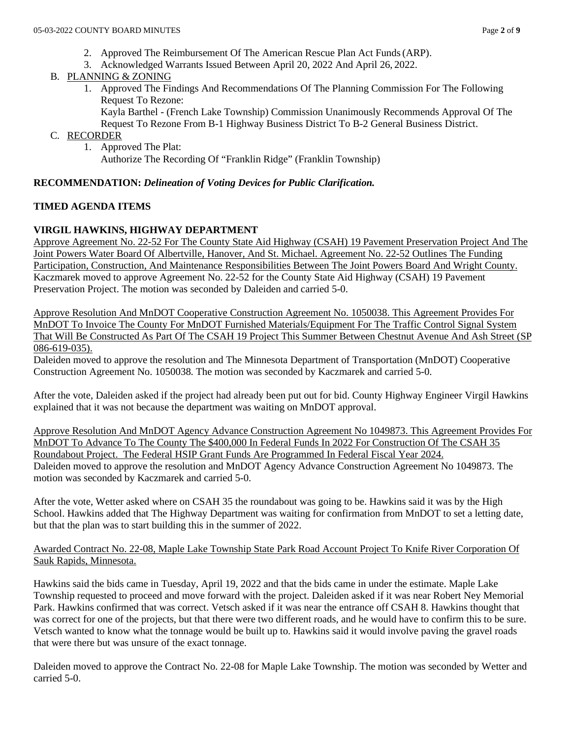- 2. Approved The Reimbursement Of The American Rescue Plan Act Funds(ARP).
- 3. Acknowledged Warrants Issued Between April 20, 2022 And April 26, 2022.
- B. PLANNING & ZONING
	- 1. Approved The Findings And Recommendations Of The Planning Commission For The Following Request To Rezone:

Kayla Barthel - (French Lake Township) Commission Unanimously Recommends Approval Of The Request To Rezone From B-1 Highway Business District To B-2 General Business District.

- C. RECORDER
	- 1. Approved The Plat:

Authorize The Recording Of "Franklin Ridge" (Franklin Township)

### **RECOMMENDATION:** *Delineation of Voting Devices for Public Clarification.*

## **TIMED AGENDA ITEMS**

## **VIRGIL HAWKINS, HIGHWAY DEPARTMENT**

Approve Agreement No. 22-52 For The County State Aid Highway (CSAH) 19 Pavement Preservation Project And The Joint Powers Water Board Of Albertville, Hanover, And St. Michael. Agreement No. 22-52 Outlines The Funding Participation, Construction, And Maintenance Responsibilities Between The Joint Powers Board And Wright County. Kaczmarek moved to approve Agreement No. 22-52 for the County State Aid Highway (CSAH) 19 Pavement Preservation Project. The motion was seconded by Daleiden and carried 5-0.

Approve Resolution And MnDOT Cooperative Construction Agreement No. 1050038. This Agreement Provides For MnDOT To Invoice The County For MnDOT Furnished Materials/Equipment For The Traffic Control Signal System That Will Be Constructed As Part Of The CSAH 19 Project This Summer Between Chestnut Avenue And Ash Street (SP 086-619-035).

Daleiden moved to approve the resolution and The Minnesota Department of Transportation (MnDOT) Cooperative Construction Agreement No. 1050038. The motion was seconded by Kaczmarek and carried 5-0.

After the vote, Daleiden asked if the project had already been put out for bid. County Highway Engineer Virgil Hawkins explained that it was not because the department was waiting on MnDOT approval.

Approve Resolution And MnDOT Agency Advance Construction Agreement No 1049873. This Agreement Provides For MnDOT To Advance To The County The \$400,000 In Federal Funds In 2022 For Construction Of The CSAH 35 Roundabout Project. The Federal HSIP Grant Funds Are Programmed In Federal Fiscal Year 2024. Daleiden moved to approve the resolution and MnDOT Agency Advance Construction Agreement No 1049873. The motion was seconded by Kaczmarek and carried 5-0.

After the vote, Wetter asked where on CSAH 35 the roundabout was going to be. Hawkins said it was by the High School. Hawkins added that The Highway Department was waiting for confirmation from MnDOT to set a letting date, but that the plan was to start building this in the summer of 2022.

Awarded Contract No. 22-08, Maple Lake Township State Park Road Account Project To Knife River Corporation Of Sauk Rapids, Minnesota.

Hawkins said the bids came in Tuesday, April 19, 2022 and that the bids came in under the estimate. Maple Lake Township requested to proceed and move forward with the project. Daleiden asked if it was near Robert Ney Memorial Park. Hawkins confirmed that was correct. Vetsch asked if it was near the entrance off CSAH 8. Hawkins thought that was correct for one of the projects, but that there were two different roads, and he would have to confirm this to be sure. Vetsch wanted to know what the tonnage would be built up to. Hawkins said it would involve paving the gravel roads that were there but was unsure of the exact tonnage.

Daleiden moved to approve the Contract No. 22-08 for Maple Lake Township. The motion was seconded by Wetter and carried 5-0.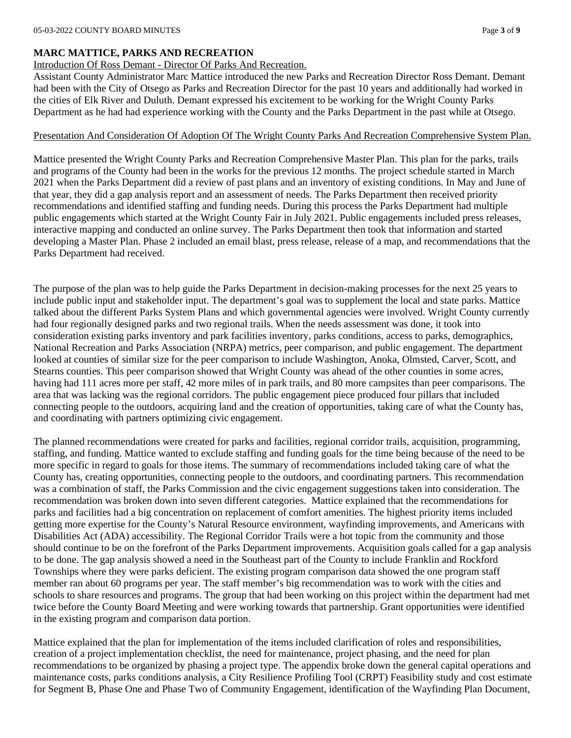### **MARC MATTICE, PARKS AND RECREATION**

## Introduction Of Ross Demant - Director Of Parks And Recreation.

Assistant County Administrator Marc Mattice introduced the new Parks and Recreation Director Ross Demant. Demant had been with the City of Otsego as Parks and Recreation Director for the past 10 years and additionally had worked in the cities of Elk River and Duluth. Demant expressed his excitement to be working for the Wright County Parks Department as he had had experience working with the County and the Parks Department in the past while at Otsego.

### Presentation And Consideration Of Adoption Of The Wright County Parks And Recreation Comprehensive System Plan.

Mattice presented the Wright County Parks and Recreation Comprehensive Master Plan. This plan for the parks, trails and programs of the County had been in the works for the previous 12 months. The project schedule started in March 2021 when the Parks Department did a review of past plans and an inventory of existing conditions. In May and June of that year, they did a gap analysis report and an assessment of needs. The Parks Department then received priority recommendations and identified staffing and funding needs. During this process the Parks Department had multiple public engagements which started at the Wright County Fair in July 2021. Public engagements included press releases, interactive mapping and conducted an online survey. The Parks Department then took that information and started developing a Master Plan. Phase 2 included an email blast, press release, release of a map, and recommendations that the Parks Department had received.

The purpose of the plan was to help guide the Parks Department in decision-making processes for the next 25 years to include public input and stakeholder input. The department's goal was to supplement the local and state parks. Mattice talked about the different Parks System Plans and which governmental agencies were involved. Wright County currently had four regionally designed parks and two regional trails. When the needs assessment was done, it took into consideration existing parks inventory and park facilities inventory, parks conditions, access to parks, demographics, National Recreation and Parks Association (NRPA) metrics, peer comparison, and public engagement. The department looked at counties of similar size for the peer comparison to include Washington, Anoka, Olmsted, Carver, Scott, and Stearns counties. This peer comparison showed that Wright County was ahead of the other counties in some acres, having had 111 acres more per staff, 42 more miles of in park trails, and 80 more campsites than peer comparisons. The area that was lacking was the regional corridors. The public engagement piece produced four pillars that included connecting people to the outdoors, acquiring land and the creation of opportunities, taking care of what the County has, and coordinating with partners optimizing civic engagement.

The planned recommendations were created for parks and facilities, regional corridor trails, acquisition, programming, staffing, and funding. Mattice wanted to exclude staffing and funding goals for the time being because of the need to be more specific in regard to goals for those items. The summary of recommendations included taking care of what the County has, creating opportunities, connecting people to the outdoors, and coordinating partners. This recommendation was a combination of staff, the Parks Commission and the civic engagement suggestions taken into consideration. The recommendation was broken down into seven different categories. Mattice explained that the recommendations for parks and facilities had a big concentration on replacement of comfort amenities. The highest priority items included getting more expertise for the County's Natural Resource environment, wayfinding improvements, and Americans with Disabilities Act (ADA) accessibility. The Regional Corridor Trails were a hot topic from the community and those should continue to be on the forefront of the Parks Department improvements. Acquisition goals called for a gap analysis to be done. The gap analysis showed a need in the Southeast part of the County to include Franklin and Rockford Townships where they were parks deficient. The existing program comparison data showed the one program staff member ran about 60 programs per year. The staff member's big recommendation was to work with the cities and schools to share resources and programs. The group that had been working on this project within the department had met twice before the County Board Meeting and were working towards that partnership. Grant opportunities were identified in the existing program and comparison data portion.

Mattice explained that the plan for implementation of the items included clarification of roles and responsibilities, creation of a project implementation checklist, the need for maintenance, project phasing, and the need for plan recommendations to be organized by phasing a project type. The appendix broke down the general capital operations and maintenance costs, parks conditions analysis, a City Resilience Profiling Tool (CRPT) Feasibility study and cost estimate for Segment B, Phase One and Phase Two of Community Engagement, identification of the Wayfinding Plan Document,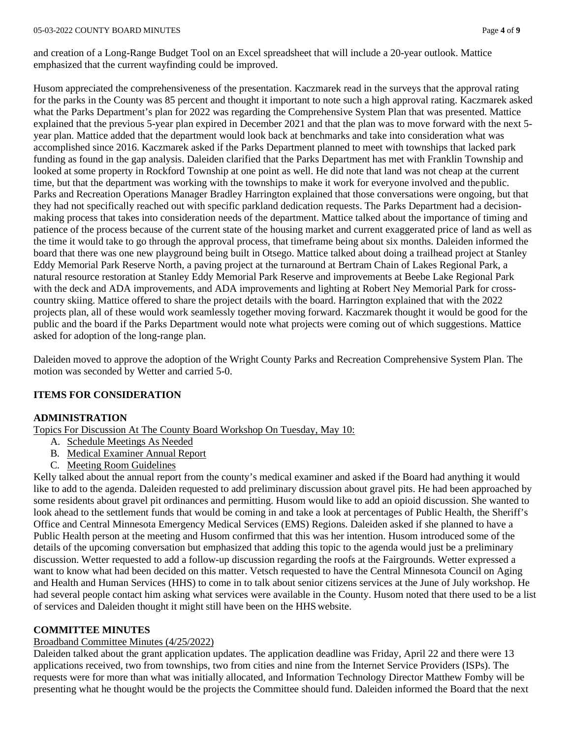and creation of a Long-Range Budget Tool on an Excel spreadsheet that will include a 20-year outlook. Mattice emphasized that the current wayfinding could be improved.

Husom appreciated the comprehensiveness of the presentation. Kaczmarek read in the surveys that the approval rating for the parks in the County was 85 percent and thought it important to note such a high approval rating. Kaczmarek asked what the Parks Department's plan for 2022 was regarding the Comprehensive System Plan that was presented. Mattice explained that the previous 5-year plan expired in December 2021 and that the plan was to move forward with the next 5 year plan. Mattice added that the department would look back at benchmarks and take into consideration what was accomplished since 2016. Kaczmarek asked if the Parks Department planned to meet with townships that lacked park funding as found in the gap analysis. Daleiden clarified that the Parks Department has met with Franklin Township and looked at some property in Rockford Township at one point as well. He did note that land was not cheap at the current time, but that the department was working with the townships to make it work for everyone involved and thepublic. Parks and Recreation Operations Manager Bradley Harrington explained that those conversations were ongoing, but that they had not specifically reached out with specific parkland dedication requests. The Parks Department had a decisionmaking process that takes into consideration needs of the department. Mattice talked about the importance of timing and patience of the process because of the current state of the housing market and current exaggerated price of land as well as the time it would take to go through the approval process, that timeframe being about six months. Daleiden informed the board that there was one new playground being built in Otsego. Mattice talked about doing a trailhead project at Stanley Eddy Memorial Park Reserve North, a paving project at the turnaround at Bertram Chain of Lakes Regional Park, a natural resource restoration at Stanley Eddy Memorial Park Reserve and improvements at Beebe Lake Regional Park with the deck and ADA improvements, and ADA improvements and lighting at Robert Ney Memorial Park for crosscountry skiing. Mattice offered to share the project details with the board. Harrington explained that with the 2022 projects plan, all of these would work seamlessly together moving forward. Kaczmarek thought it would be good for the public and the board if the Parks Department would note what projects were coming out of which suggestions. Mattice asked for adoption of the long-range plan.

Daleiden moved to approve the adoption of the Wright County Parks and Recreation Comprehensive System Plan. The motion was seconded by Wetter and carried 5-0.

### **ITEMS FOR CONSIDERATION**

#### **ADMINISTRATION**

Topics For Discussion At The County Board Workshop On Tuesday, May 10:

- A. Schedule Meetings As Needed
- B. Medical Examiner Annual Report
- C. Meeting Room Guidelines

Kelly talked about the annual report from the county's medical examiner and asked if the Board had anything it would like to add to the agenda. Daleiden requested to add preliminary discussion about gravel pits. He had been approached by some residents about gravel pit ordinances and permitting. Husom would like to add an opioid discussion. She wanted to look ahead to the settlement funds that would be coming in and take a look at percentages of Public Health, the Sheriff's Office and Central Minnesota Emergency Medical Services (EMS) Regions. Daleiden asked if she planned to have a Public Health person at the meeting and Husom confirmed that this was her intention. Husom introduced some of the details of the upcoming conversation but emphasized that adding this topic to the agenda would just be a preliminary discussion. Wetter requested to add a follow-up discussion regarding the roofs at the Fairgrounds. Wetter expressed a want to know what had been decided on this matter. Vetsch requested to have the Central Minnesota Council on Aging and Health and Human Services (HHS) to come in to talk about senior citizens services at the June of July workshop. He had several people contact him asking what services were available in the County. Husom noted that there used to be a list of services and Daleiden thought it might still have been on the HHS website.

#### **COMMITTEE MINUTES**

#### Broadband Committee Minutes (4/25/2022)

Daleiden talked about the grant application updates. The application deadline was Friday, April 22 and there were 13 applications received, two from townships, two from cities and nine from the Internet Service Providers (ISPs). The requests were for more than what was initially allocated, and Information Technology Director Matthew Fomby will be presenting what he thought would be the projects the Committee should fund. Daleiden informed the Board that the next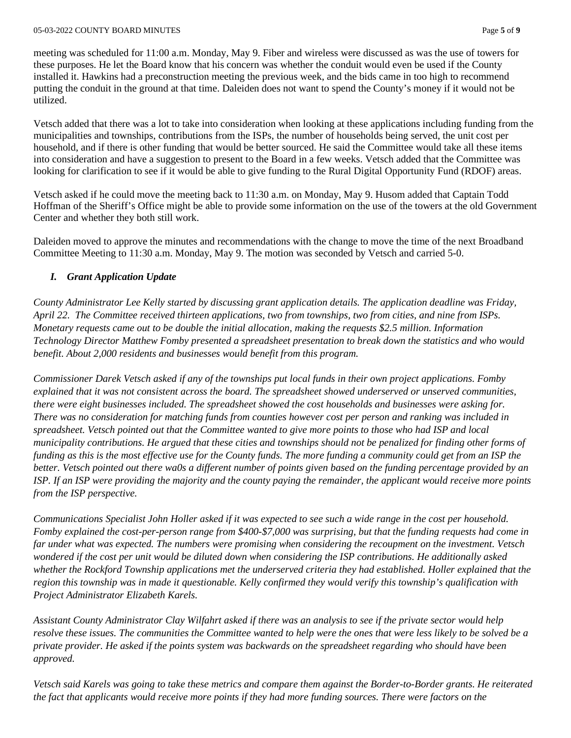meeting was scheduled for 11:00 a.m. Monday, May 9. Fiber and wireless were discussed as was the use of towers for these purposes. He let the Board know that his concern was whether the conduit would even be used if the County installed it. Hawkins had a preconstruction meeting the previous week, and the bids came in too high to recommend putting the conduit in the ground at that time. Daleiden does not want to spend the County's money if it would not be utilized.

Vetsch added that there was a lot to take into consideration when looking at these applications including funding from the municipalities and townships, contributions from the ISPs, the number of households being served, the unit cost per household, and if there is other funding that would be better sourced. He said the Committee would take all these items into consideration and have a suggestion to present to the Board in a few weeks. Vetsch added that the Committee was looking for clarification to see if it would be able to give funding to the Rural Digital Opportunity Fund (RDOF) areas.

Vetsch asked if he could move the meeting back to 11:30 a.m. on Monday, May 9. Husom added that Captain Todd Hoffman of the Sheriff's Office might be able to provide some information on the use of the towers at the old Government Center and whether they both still work.

Daleiden moved to approve the minutes and recommendations with the change to move the time of the next Broadband Committee Meeting to 11:30 a.m. Monday, May 9. The motion was seconded by Vetsch and carried 5-0.

# *I. Grant Application Update*

*County Administrator Lee Kelly started by discussing grant application details. The application deadline was Friday, April 22. The Committee received thirteen applications, two from townships, two from cities, and nine from ISPs. Monetary requests came out to be double the initial allocation, making the requests \$2.5 million. Information Technology Director Matthew Fomby presented a spreadsheet presentation to break down the statistics and who would benefit. About 2,000 residents and businesses would benefit from this program.*

*Commissioner Darek Vetsch asked if any of the townships put local funds in their own project applications. Fomby explained that it was not consistent across the board. The spreadsheet showed underserved or unserved communities, there were eight businesses included. The spreadsheet showed the cost households and businesses were asking for. There was no consideration for matching funds from counties however cost per person and ranking was included in spreadsheet. Vetsch pointed out that the Committee wanted to give more points to those who had ISP and local municipality contributions. He argued that these cities and townships should not be penalized for finding other forms of funding as this is the most effective use for the County funds. The more funding a community could get from an ISP the better. Vetsch pointed out there wa0s a different number of points given based on the funding percentage provided by an ISP. If an ISP were providing the majority and the county paying the remainder, the applicant would receive more points from the ISP perspective.*

*Communications Specialist John Holler asked if it was expected to see such a wide range in the cost per household. Fomby explained the cost-per-person range from \$400-\$7,000 was surprising, but that the funding requests had come in far under what was expected. The numbers were promising when considering the recoupment on the investment. Vetsch wondered if the cost per unit would be diluted down when considering the ISP contributions. He additionally asked whether the Rockford Township applications met the underserved criteria they had established. Holler explained that the region this township was in made it questionable. Kelly confirmed they would verify this township's qualification with Project Administrator Elizabeth Karels.*

*Assistant County Administrator Clay Wilfahrt asked if there was an analysis to see if the private sector would help resolve these issues. The communities the Committee wanted to help were the ones that were less likely to be solved be a private provider. He asked if the points system was backwards on the spreadsheet regarding who should have been approved.*

*Vetsch said Karels was going to take these metrics and compare them against the Border-to-Border grants. He reiterated the fact that applicants would receive more points if they had more funding sources. There were factors on the*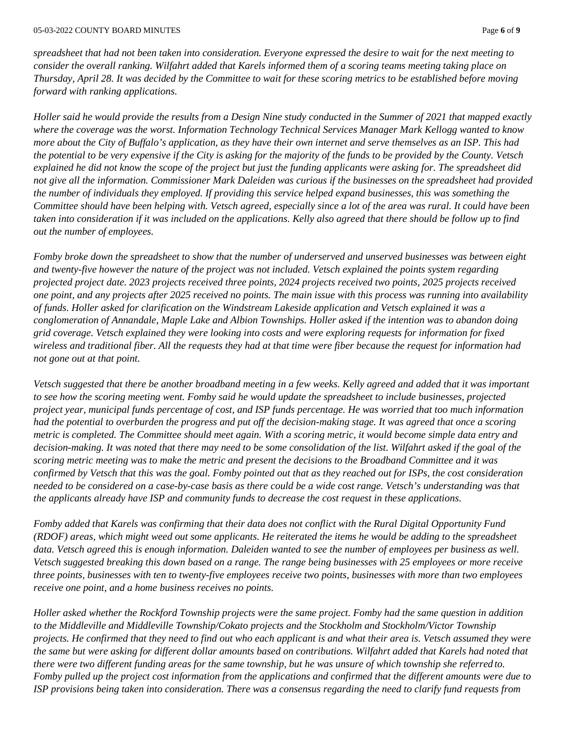*spreadsheet that had not been taken into consideration. Everyone expressed the desire to wait for the next meeting to consider the overall ranking. Wilfahrt added that Karels informed them of a scoring teams meeting taking place on Thursday, April 28. It was decided by the Committee to wait for these scoring metrics to be established before moving forward with ranking applications.*

*Holler said he would provide the results from a Design Nine study conducted in the Summer of 2021 that mapped exactly where the coverage was the worst. Information Technology Technical Services Manager Mark Kellogg wanted to know more about the City of Buffalo's application, as they have their own internet and serve themselves as an ISP. This had the potential to be very expensive if the City is asking for the majority of the funds to be provided by the County. Vetsch explained he did not know the scope of the project but just the funding applicants were asking for. The spreadsheet did not give all the information. Commissioner Mark Daleiden was curious if the businesses on the spreadsheet had provided the number of individuals they employed. If providing this service helped expand businesses, this was something the Committee should have been helping with. Vetsch agreed, especially since a lot of the area was rural. It could have been taken into consideration if it was included on the applications. Kelly also agreed that there should be follow up to find out the number of employees.*

*Fomby broke down the spreadsheet to show that the number of underserved and unserved businesses was between eight and twenty-five however the nature of the project was not included. Vetsch explained the points system regarding projected project date. 2023 projects received three points, 2024 projects received two points, 2025 projects received one point, and any projects after 2025 received no points. The main issue with this process was running into availability of funds. Holler asked for clarification on the Windstream Lakeside application and Vetsch explained it was a conglomeration of Annandale, Maple Lake and Albion Townships. Holler asked if the intention was to abandon doing grid coverage. Vetsch explained they were looking into costs and were exploring requests for information for fixed wireless and traditional fiber. All the requests they had at that time were fiber because the request for information had not gone out at that point.*

*Vetsch suggested that there be another broadband meeting in a few weeks. Kelly agreed and added that it was important to see how the scoring meeting went. Fomby said he would update the spreadsheet to include businesses, projected project year, municipal funds percentage of cost, and ISP funds percentage. He was worried that too much information had the potential to overburden the progress and put off the decision-making stage. It was agreed that once a scoring metric is completed. The Committee should meet again. With a scoring metric, it would become simple data entry and decision-making. It was noted that there may need to be some consolidation of the list. Wilfahrt asked if the goal of the scoring metric meeting was to make the metric and present the decisions to the Broadband Committee and it was confirmed by Vetsch that this was the goal. Fomby pointed out that as they reached out for ISPs, the cost consideration needed to be considered on a case-by-case basis as there could be a wide cost range. Vetsch's understanding was that the applicants already have ISP and community funds to decrease the cost request in these applications.*

*Fomby added that Karels was confirming that their data does not conflict with the Rural Digital Opportunity Fund (RDOF) areas, which might weed out some applicants. He reiterated the items he would be adding to the spreadsheet data. Vetsch agreed this is enough information. Daleiden wanted to see the number of employees per business as well. Vetsch suggested breaking this down based on a range. The range being businesses with 25 employees or more receive three points, businesses with ten to twenty-five employees receive two points, businesses with more than two employees receive one point, and a home business receives no points.*

*Holler asked whether the Rockford Township projects were the same project. Fomby had the same question in addition to the Middleville and Middleville Township/Cokato projects and the Stockholm and Stockholm/Victor Township projects. He confirmed that they need to find out who each applicant is and what their area is. Vetsch assumed they were the same but were asking for different dollar amounts based on contributions. Wilfahrt added that Karels had noted that there were two different funding areas for the same township, but he was unsure of which township she referred to. Fomby pulled up the project cost information from the applications and confirmed that the different amounts were due to ISP provisions being taken into consideration. There was a consensus regarding the need to clarify fund requests from*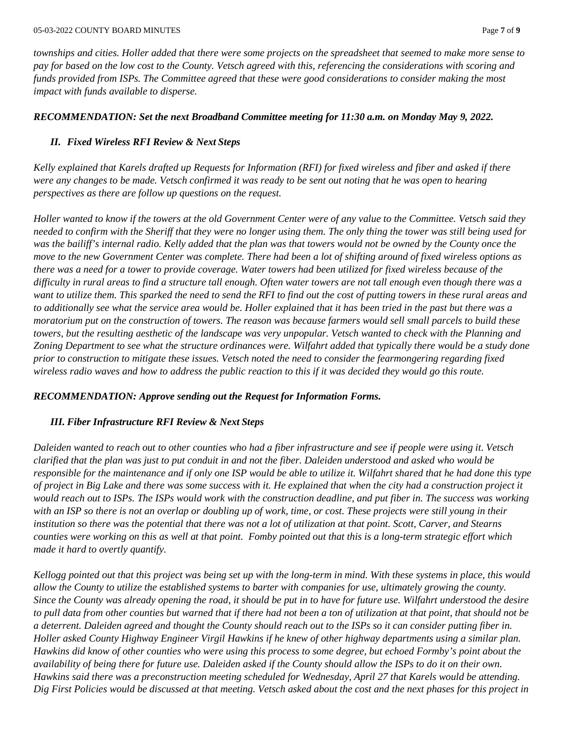*townships and cities. Holler added that there were some projects on the spreadsheet that seemed to make more sense to pay for based on the low cost to the County. Vetsch agreed with this, referencing the considerations with scoring and funds provided from ISPs. The Committee agreed that these were good considerations to consider making the most impact with funds available to disperse.*

## *RECOMMENDATION: Set the next Broadband Committee meeting for 11:30 a.m. on Monday May 9, 2022.*

# *II. Fixed Wireless RFI Review & Next Steps*

*Kelly explained that Karels drafted up Requests for Information (RFI) for fixed wireless and fiber and asked if there were any changes to be made. Vetsch confirmed it was ready to be sent out noting that he was open to hearing perspectives as there are follow up questions on the request.*

*Holler wanted to know if the towers at the old Government Center were of any value to the Committee. Vetsch said they needed to confirm with the Sheriff that they were no longer using them. The only thing the tower was still being used for*  was the bailiff's internal radio. Kelly added that the plan was that towers would not be owned by the County once the *move to the new Government Center was complete. There had been a lot of shifting around of fixed wireless options as there was a need for a tower to provide coverage. Water towers had been utilized for fixed wireless because of the difficulty in rural areas to find a structure tall enough. Often water towers are not tall enough even though there was a want to utilize them. This sparked the need to send the RFI to find out the cost of putting towers in these rural areas and to additionally see what the service area would be. Holler explained that it has been tried in the past but there was a moratorium put on the construction of towers. The reason was because farmers would sell small parcels to build these towers, but the resulting aesthetic of the landscape was very unpopular. Vetsch wanted to check with the Planning and Zoning Department to see what the structure ordinances were. Wilfahrt added that typically there would be a study done prior to construction to mitigate these issues. Vetsch noted the need to consider the fearmongering regarding fixed wireless radio waves and how to address the public reaction to this if it was decided they would go this route.*

# *RECOMMENDATION: Approve sending out the Request for Information Forms.*

#### *III. Fiber Infrastructure RFI Review & Next Steps*

*Daleiden wanted to reach out to other counties who had a fiber infrastructure and see if people were using it. Vetsch clarified that the plan was just to put conduit in and not the fiber. Daleiden understood and asked who would be responsible for the maintenance and if only one ISP would be able to utilize it. Wilfahrt shared that he had done this type of project in Big Lake and there was some success with it. He explained that when the city had a construction project it would reach out to ISPs. The ISPs would work with the construction deadline, and put fiber in. The success was working with an ISP so there is not an overlap or doubling up of work, time, or cost. These projects were still young in their institution so there was the potential that there was not a lot of utilization at that point. Scott, Carver, and Stearns counties were working on this as well at that point. Fomby pointed out that this is a long-term strategic effort which made it hard to overtly quantify.*

*Kellogg pointed out that this project was being set up with the long-term in mind. With these systems in place, this would allow the County to utilize the established systems to barter with companies for use, ultimately growing the county. Since the County was already opening the road, it should be put in to have for future use. Wilfahrt understood the desire to pull data from other counties but warned that if there had not been a ton of utilization at that point, that should not be a deterrent. Daleiden agreed and thought the County should reach out to the ISPs so it can consider putting fiber in. Holler asked County Highway Engineer Virgil Hawkins if he knew of other highway departments using a similar plan. Hawkins did know of other counties who were using this process to some degree, but echoed Formby's point about the availability of being there for future use. Daleiden asked if the County should allow the ISPs to do it on their own. Hawkins said there was a preconstruction meeting scheduled for Wednesday, April 27 that Karels would be attending. Dig First Policies would be discussed at that meeting. Vetsch asked about the cost and the next phases for this project in*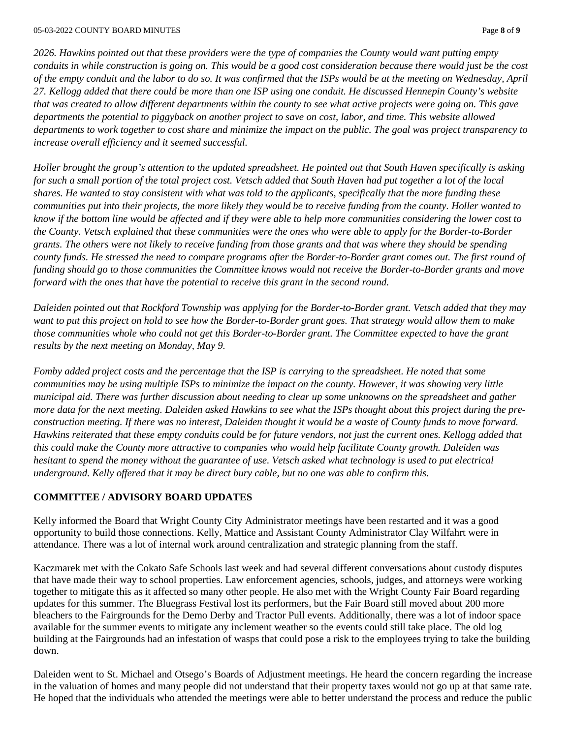*2026. Hawkins pointed out that these providers were the type of companies the County would want putting empty conduits in while construction is going on. This would be a good cost consideration because there would just be the cost of the empty conduit and the labor to do so. It was confirmed that the ISPs would be at the meeting on Wednesday, April 27. Kellogg added that there could be more than one ISP using one conduit. He discussed Hennepin County's website that was created to allow different departments within the county to see what active projects were going on. This gave departments the potential to piggyback on another project to save on cost, labor, and time. This website allowed departments to work together to cost share and minimize the impact on the public. The goal was project transparency to increase overall efficiency and it seemed successful.*

*Holler brought the group's attention to the updated spreadsheet. He pointed out that South Haven specifically is asking for such a small portion of the total project cost. Vetsch added that South Haven had put together a lot of the local shares. He wanted to stay consistent with what was told to the applicants, specifically that the more funding these communities put into their projects, the more likely they would be to receive funding from the county. Holler wanted to know if the bottom line would be affected and if they were able to help more communities considering the lower cost to the County. Vetsch explained that these communities were the ones who were able to apply for the Border-to-Border grants. The others were not likely to receive funding from those grants and that was where they should be spending county funds. He stressed the need to compare programs after the Border-to-Border grant comes out. The first round of funding should go to those communities the Committee knows would not receive the Border-to-Border grants and move forward with the ones that have the potential to receive this grant in the second round.*

*Daleiden pointed out that Rockford Township was applying for the Border-to-Border grant. Vetsch added that they may want to put this project on hold to see how the Border-to-Border grant goes. That strategy would allow them to make those communities whole who could not get this Border-to-Border grant. The Committee expected to have the grant results by the next meeting on Monday, May 9.*

*Fomby added project costs and the percentage that the ISP is carrying to the spreadsheet. He noted that some communities may be using multiple ISPs to minimize the impact on the county. However, it was showing very little municipal aid. There was further discussion about needing to clear up some unknowns on the spreadsheet and gather more data for the next meeting. Daleiden asked Hawkins to see what the ISPs thought about this project during the preconstruction meeting. If there was no interest, Daleiden thought it would be a waste of County funds to move forward. Hawkins reiterated that these empty conduits could be for future vendors, not just the current ones. Kellogg added that this could make the County more attractive to companies who would help facilitate County growth. Daleiden was hesitant to spend the money without the guarantee of use. Vetsch asked what technology is used to put electrical underground. Kelly offered that it may be direct bury cable, but no one was able to confirm this.*

#### **COMMITTEE / ADVISORY BOARD UPDATES**

Kelly informed the Board that Wright County City Administrator meetings have been restarted and it was a good opportunity to build those connections. Kelly, Mattice and Assistant County Administrator Clay Wilfahrt were in attendance. There was a lot of internal work around centralization and strategic planning from the staff.

Kaczmarek met with the Cokato Safe Schools last week and had several different conversations about custody disputes that have made their way to school properties. Law enforcement agencies, schools, judges, and attorneys were working together to mitigate this as it affected so many other people. He also met with the Wright County Fair Board regarding updates for this summer. The Bluegrass Festival lost its performers, but the Fair Board still moved about 200 more bleachers to the Fairgrounds for the Demo Derby and Tractor Pull events. Additionally, there was a lot of indoor space available for the summer events to mitigate any inclement weather so the events could still take place. The old log building at the Fairgrounds had an infestation of wasps that could pose a risk to the employees trying to take the building down.

Daleiden went to St. Michael and Otsego's Boards of Adjustment meetings. He heard the concern regarding the increase in the valuation of homes and many people did not understand that their property taxes would not go up at that same rate. He hoped that the individuals who attended the meetings were able to better understand the process and reduce the public